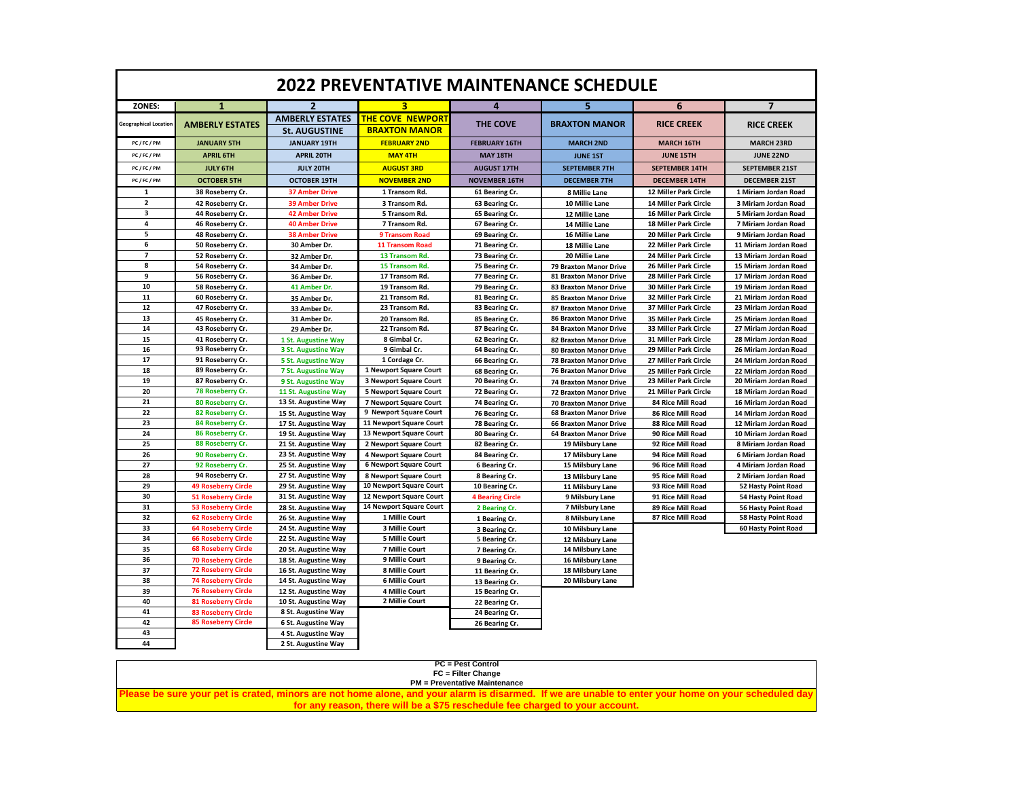| <b>2022 PREVENTATIVE MAINTENANCE SCHEDULE</b> |                            |                                                |                                                 |                         |                               |                              |                            |  |  |
|-----------------------------------------------|----------------------------|------------------------------------------------|-------------------------------------------------|-------------------------|-------------------------------|------------------------------|----------------------------|--|--|
| ZONES:                                        | $\mathbf{1}$               | $\overline{2}$                                 | 3                                               | 4                       | 5                             | 6                            | $\overline{7}$             |  |  |
| <b>Geographical Location</b>                  | <b>AMBERLY ESTATES</b>     | <b>AMBERLY ESTATES</b><br><b>St. AUGUSTINE</b> | <b>THE COVE NEWPORT</b><br><b>BRAXTON MANOR</b> | THE COVE                | <b>BRAXTON MANOR</b>          | <b>RICE CREEK</b>            | <b>RICE CREEK</b>          |  |  |
| PC/FC/PM                                      | <b>JANUARY 5TH</b>         | <b>JANUARY 19TH</b>                            | <b>FEBRUARY 2ND</b>                             | <b>FEBRUARY 16TH</b>    | <b>MARCH 2ND</b>              | <b>MARCH 16TH</b>            | <b>MARCH 23RD</b>          |  |  |
| PC/FC/PM                                      | <b>APRIL 6TH</b>           | <b>APRIL 20TH</b>                              | <b>MAY 4TH</b>                                  | <b>MAY 18TH</b>         | <b>JUNE 1ST</b>               | <b>JUNE 15TH</b>             | <b>JUNE 22ND</b>           |  |  |
| PC/FC/PM                                      | <b>JULY 6TH</b>            | <b>JULY 20TH</b>                               | <b>AUGUST 3RD</b>                               | <b>AUGUST 17TH</b>      | <b>SEPTEMBER 7TH</b>          | <b>SEPTEMBER 14TH</b>        | <b>SEPTEMBER 21ST</b>      |  |  |
| PC/FC/PM                                      | <b>OCTOBER 5TH</b>         | <b>OCTOBER 19TH</b>                            | <b>NOVEMBER 2ND</b>                             | <b>NOVEMBER 16TH</b>    | <b>DECEMBER 7TH</b>           | <b>DECEMBER 14TH</b>         | <b>DECEMBER 21ST</b>       |  |  |
| 1                                             | 38 Roseberry Cr.           | <b>37 Amber Drive</b>                          | 1 Transom Rd.                                   | 61 Bearing Cr.          | 8 Millie Lane                 | 12 Miller Park Circle        | 1 Miriam Jordan Road       |  |  |
| $\overline{2}$                                | 42 Roseberry Cr.           | <b>39 Amber Drive</b>                          | 3 Transom Rd.                                   | 63 Bearing Cr.          | 10 Millie Lane                | <b>14 Miller Park Circle</b> | 3 Miriam Jordan Road       |  |  |
| 3                                             | 44 Roseberry Cr.           | <b>42 Amber Drive</b>                          | 5 Transom Rd.                                   | 65 Bearing Cr.          | 12 Millie Lane                | 16 Miller Park Circle        | 5 Miriam Jordan Road       |  |  |
| 4                                             | 46 Roseberry Cr.           | <b>40 Amber Drive</b>                          | 7 Transom Rd.                                   | 67 Bearing Cr.          | 14 Millie Lane                | 18 Miller Park Circle        | 7 Miriam Jordan Road       |  |  |
| 5                                             | 48 Roseberry Cr.           | <b>38 Amber Drive</b>                          | 9 Transom Road                                  | 69 Bearing Cr.          | 16 Millie Lane                | 20 Miller Park Circle        | 9 Miriam Jordan Road       |  |  |
| 6                                             | 50 Roseberry Cr.           | 30 Amber Dr.                                   | 11 Transom Road                                 | 71 Bearing Cr.          | 18 Millie Lane                | 22 Miller Park Circle        | 11 Miriam Jordan Road      |  |  |
| $\overline{7}$                                | 52 Roseberry Cr.           | 32 Amber Dr.                                   | 13 Transom Rd.                                  | 73 Bearing Cr.          | 20 Millie Lane                | 24 Miller Park Circle        | 13 Miriam Jordan Road      |  |  |
| 8                                             | 54 Roseberry Cr.           | 34 Amber Dr.                                   | 15 Transom Rd.                                  | 75 Bearing Cr.          | <b>79 Braxton Manor Drive</b> | 26 Miller Park Circle        | 15 Miriam Jordan Road      |  |  |
| 9                                             | 56 Roseberry Cr.           | 36 Amber Dr.                                   | 17 Transom Rd.                                  | 77 Bearing Cr.          | 81 Braxton Manor Drive        | 28 Miller Park Circle        | 17 Miriam Jordan Road      |  |  |
| 10                                            | 58 Roseberry Cr.           | 41 Amber Dr.                                   | 19 Transom Rd.                                  | 79 Bearing Cr.          | 83 Braxton Manor Drive        | <b>30 Miller Park Circle</b> | 19 Miriam Jordan Road      |  |  |
| 11                                            | 60 Roseberry Cr.           | 35 Amber Dr.                                   | 21 Transom Rd.                                  | 81 Bearing Cr.          | 85 Braxton Manor Drive        | 32 Miller Park Circle        | 21 Miriam Jordan Road      |  |  |
| 12                                            | 47 Roseberry Cr.           | 33 Amber Dr.                                   | 23 Transom Rd.                                  | 83 Bearing Cr.          | 87 Braxton Manor Drive        | 37 Miller Park Circle        | 23 Miriam Jordan Road      |  |  |
| 13                                            | 45 Roseberry Cr.           | 31 Amber Dr.                                   | 20 Transom Rd.                                  | 85 Bearing Cr.          | <b>86 Braxton Manor Drive</b> | 35 Miller Park Circle        | 25 Miriam Jordan Road      |  |  |
| 14                                            | 43 Roseberry Cr.           | 29 Amber Dr.                                   | 22 Transom Rd.                                  | 87 Bearing Cr.          | <b>84 Braxton Manor Drive</b> | 33 Miller Park Circle        | 27 Miriam Jordan Road      |  |  |
| 15                                            | 41 Roseberry Cr.           | 1 St. Augustine Way                            | 8 Gimbal Cr.                                    | 62 Bearing Cr.          | <b>82 Braxton Manor Drive</b> | 31 Miller Park Circle        | 28 Miriam Jordan Road      |  |  |
| 16                                            | 93 Roseberry Cr.           | 3 St. Augustine Way                            | 9 Gimbal Cr.                                    | 64 Bearing Cr.          | <b>80 Braxton Manor Drive</b> | 29 Miller Park Circle        | 26 Miriam Jordan Road      |  |  |
| 17                                            | 91 Roseberry Cr.           | <b>5 St. Augustine Way</b>                     | 1 Cordage Cr.                                   | 66 Bearing Cr.          | <b>78 Braxton Manor Drive</b> | 27 Miller Park Circle        | 24 Miriam Jordan Road      |  |  |
| 18                                            | 89 Roseberry Cr.           | 7 St. Augustine Way                            | 1 Newport Square Court                          | 68 Bearing Cr.          | <b>76 Braxton Manor Drive</b> | 25 Miller Park Circle        | 22 Miriam Jordan Road      |  |  |
| 19                                            | 87 Roseberry Cr.           | 9 St. Augustine Way                            | 3 Newport Square Court                          | 70 Bearing Cr.          | <b>74 Braxton Manor Drive</b> | 23 Miller Park Circle        | 20 Miriam Jordan Road      |  |  |
| 20                                            | 78 Roseberry Cr.           | 11 St. Augustine Way                           | 5 Newport Square Court                          | 72 Bearing Cr.          | 72 Braxton Manor Drive        | 21 Miller Park Circle        | 18 Miriam Jordan Road      |  |  |
| 21                                            | 80 Roseberry Cr.           | 13 St. Augustine Way                           | 7 Newport Square Court                          | 74 Bearing Cr.          | <b>70 Braxton Manor Drive</b> | <b>84 Rice Mill Road</b>     | 16 Miriam Jordan Road      |  |  |
| 22                                            | 82 Roseberry Cr.           | 15 St. Augustine Way                           | 9 Newport Square Court                          | 76 Bearing Cr.          | <b>68 Braxton Manor Drive</b> | 86 Rice Mill Road            | 14 Miriam Jordan Road      |  |  |
| 23                                            | 84 Roseberry Cr.           | 17 St. Augustine Way                           | 11 Newport Square Court                         | 78 Bearing Cr.          | <b>66 Braxton Manor Drive</b> | 88 Rice Mill Road            | 12 Miriam Jordan Road      |  |  |
| 24                                            | 86 Roseberry Cr.           | 19 St. Augustine Way                           | 13 Newport Square Court                         | 80 Bearing Cr.          | <b>64 Braxton Manor Drive</b> | 90 Rice Mill Road            | 10 Miriam Jordan Road      |  |  |
| 25                                            | 88 Roseberry Cr.           | 21 St. Augustine Way                           | 2 Newport Square Court                          | 82 Bearing Cr.          | 19 Milsbury Lane              | 92 Rice Mill Road            | 8 Miriam Jordan Road       |  |  |
| 26                                            | 90 Roseberry Cr.           | 23 St. Augustine Way                           | 4 Newport Square Court                          | 84 Bearing Cr.          | 17 Milsbury Lane              | 94 Rice Mill Road            | 6 Miriam Jordan Road       |  |  |
| 27                                            | 92 Roseberry Cr.           | 25 St. Augustine Way                           | <b>6 Newport Square Court</b>                   | 6 Bearing Cr.           | 15 Milsbury Lane              | 96 Rice Mill Road            | 4 Miriam Jordan Road       |  |  |
| 28                                            | 94 Roseberry Cr.           | 27 St. Augustine Way                           | 8 Newport Square Court                          | 8 Bearing Cr.           | 13 Milsbury Lane              | 95 Rice Mill Road            | 2 Miriam Jordan Road       |  |  |
| 29                                            | <b>49 Roseberry Circle</b> | 29 St. Augustine Way                           | 10 Newport Square Court                         | 10 Bearing Cr.          | 11 Milsbury Lane              | 93 Rice Mill Road            | 52 Hasty Point Road        |  |  |
| 30                                            | <b>51 Roseberry Circle</b> | 31 St. Augustine Way                           | 12 Newport Square Court                         | <b>4 Bearing Circle</b> | 9 Milsbury Lane               | 91 Rice Mill Road            | 54 Hasty Point Road        |  |  |
| 31                                            | <b>53 Roseberry Circle</b> | 28 St. Augustine Way                           | 14 Newport Square Court                         | 2 Bearing Cr.           | 7 Milsbury Lane               | 89 Rice Mill Road            | <b>56 Hasty Point Road</b> |  |  |
| 32                                            | <b>62 Roseberry Circle</b> | 26 St. Augustine Way                           | 1 Millie Court                                  | 1 Bearing Cr.           | 8 Milsbury Lane               | 87 Rice Mill Road            | 58 Hasty Point Road        |  |  |
| 33                                            | <b>64 Roseberry Circle</b> | 24 St. Augustine Way                           | 3 Millie Court                                  | 3 Bearing Cr.           | 10 Milsbury Lane              |                              | 60 Hasty Point Road        |  |  |
| 34                                            | <b>66 Roseberry Circle</b> | 22 St. Augustine Way                           | 5 Millie Court                                  | 5 Bearing Cr.           | 12 Milsbury Lane              |                              |                            |  |  |
| 35                                            | <b>68 Roseberry Circle</b> | 20 St. Augustine Way                           | 7 Millie Court                                  | 7 Bearing Cr.           | 14 Milsbury Lane              |                              |                            |  |  |
| 36                                            | <b>70 Roseberry Circle</b> | 18 St. Augustine Way                           | 9 Millie Court                                  | 9 Bearing Cr.           | 16 Milsbury Lane              |                              |                            |  |  |
| 37                                            | <b>72 Roseberry Circle</b> | 16 St. Augustine Way                           | 8 Millie Court                                  | 11 Bearing Cr.          | 18 Milsbury Lane              |                              |                            |  |  |
| 38                                            | <b>74 Roseberry Circle</b> | 14 St. Augustine Way                           | 6 Millie Court                                  | 13 Bearing Cr.          | 20 Milsbury Lane              |                              |                            |  |  |
| 39                                            | <b>76 Roseberry Circle</b> | 12 St. Augustine Way                           | 4 Millie Court                                  | 15 Bearing Cr.          |                               |                              |                            |  |  |
| 40                                            | <b>81 Roseberry Circle</b> | 10 St. Augustine Way                           | 2 Millie Court                                  | 22 Bearing Cr.          |                               |                              |                            |  |  |
| 41                                            | <b>83 Roseberry Circle</b> | 8 St. Augustine Way                            |                                                 | 24 Bearing Cr.          |                               |                              |                            |  |  |
| 42                                            | <b>85 Roseberry Circle</b> | 6 St. Augustine Way                            |                                                 | 26 Bearing Cr.          |                               |                              |                            |  |  |
| 43                                            |                            | 4 St. Augustine Way                            |                                                 |                         |                               |                              |                            |  |  |
| 44                                            |                            | 2 St. Augustine Way                            |                                                 |                         |                               |                              |                            |  |  |

| <b>PC = Pest Control</b>                                                                                                                            |
|-----------------------------------------------------------------------------------------------------------------------------------------------------|
| FC = Filter Change                                                                                                                                  |
| <b>PM</b> = Preventative Maintenance                                                                                                                |
| Please be sure your pet is crated, minors are not home alone, and your alarm is disarmed. If we are unable to enter your home on your scheduled day |
| for any reason, there will be a \$75 reschedule fee charged to your account.                                                                        |